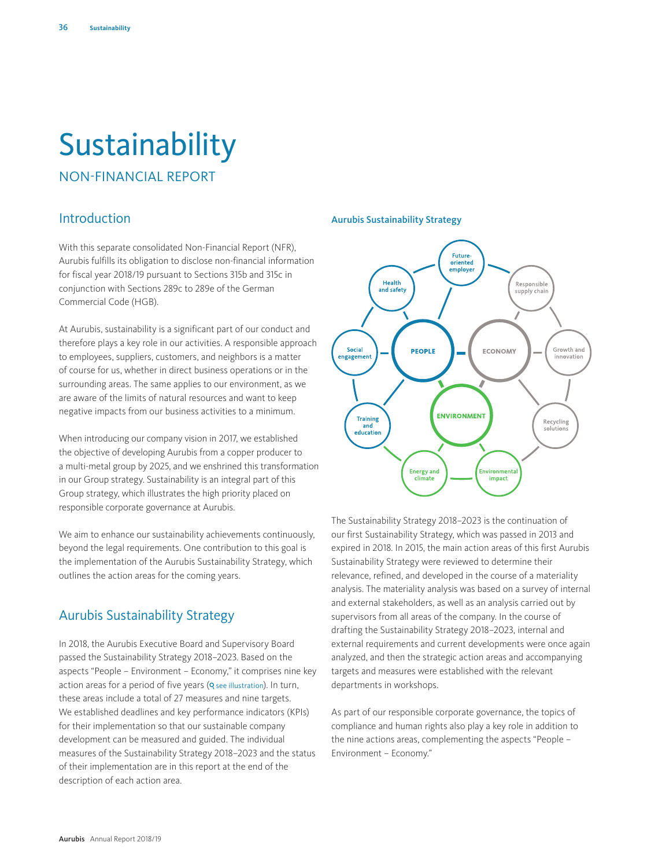# Sustainability

NON-FINANCIAL REPORT

# Introduction

With this separate consolidated Non-Financial Report (NFR), Aurubis fulfills its obligation to disclose non-financial information for fiscal year 2018/19 pursuant to Sections 315b and 315c in conjunction with Sections 289c to 289e of the German Commercial Code (HGB).

At Aurubis, sustainability is a significant part of our conduct and therefore plays a key role in our activities. A responsible approach to employees, suppliers, customers, and neighbors is a matter of course for us, whether in direct business operations or in the surrounding areas. The same applies to our environment, as we are aware of the limits of natural resources and want to keep negative impacts from our business activities to a minimum.

When introducing our company vision in 2017, we established the objective of developing Aurubis from a copper producer to a multi-metal group by 2025, and we enshrined this transformation in our Group strategy. Sustainability is an integral part of this Group strategy, which illustrates the high priority placed on responsible corporate governance at Aurubis.

We aim to enhance our sustainability achievements continuously, beyond the legal requirements. One contribution to this goal is the implementation of the Aurubis Sustainability Strategy, which outlines the action areas for the coming years.

# Aurubis Sustainability Strategy

In 2018, the Aurubis Executive Board and Supervisory Board passed the Sustainability Strategy 2018–2023. Based on the aspects "People – Environment – Economy," it comprises nine key action areas for a period of five years (**Q** see illustration). In turn, these areas include a total of 27 measures and nine targets. We established deadlines and key performance indicators (KPIs) for their implementation so that our sustainable company development can be measured and guided. The individual measures of the Sustainability Strategy 2018–2023 and the status of their implementation are in this report at the end of the description of each action area.

#### Aurubis Sustainability Strategy



The Sustainability Strategy 2018–2023 is the continuation of our first Sustainability Strategy, which was passed in 2013 and expired in 2018. In 2015, the main action areas of this first Aurubis Sustainability Strategy were reviewed to determine their relevance, refined, and developed in the course of a materiality analysis. The materiality analysis was based on a survey of internal and external stakeholders, as well as an analysis carried out by supervisors from all areas of the company. In the course of drafting the Sustainability Strategy 2018–2023, internal and external requirements and current developments were once again analyzed, and then the strategic action areas and accompanying targets and measures were established with the relevant departments in workshops.

As part of our responsible corporate governance, the topics of compliance and human rights also play a key role in addition to the nine actions areas, complementing the aspects "People – Environment – Economy."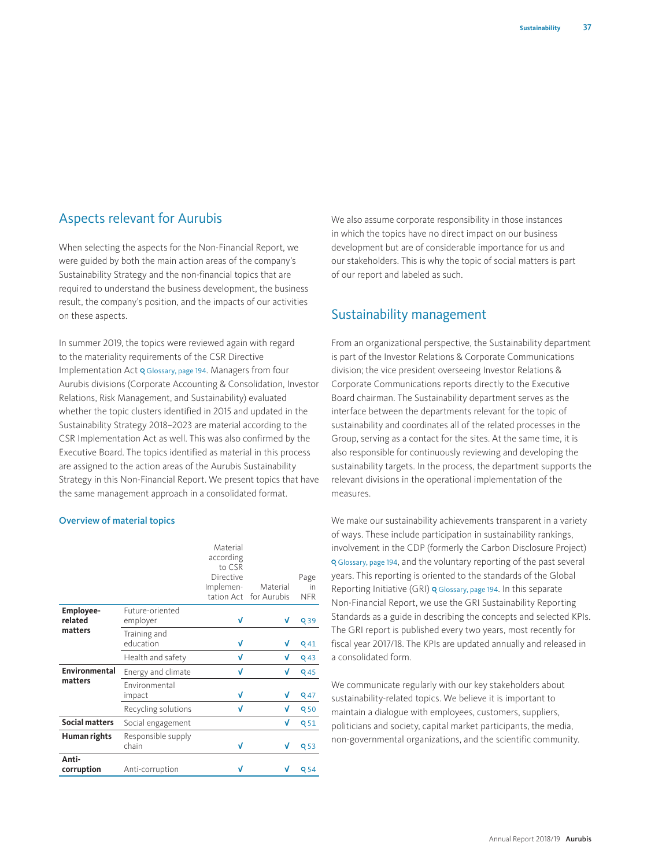# Aspects relevant for Aurubis

When selecting the aspects for the Non-Financial Report, we were guided by both the main action areas of the company's Sustainability Strategy and the non-financial topics that are required to understand the business development, the business result, the company's position, and the impacts of our activities on these aspects.

In summer 2019, the topics were reviewed again with regard to the materiality requirements of the CSR Directive Implementation Act Q Glossary, page 194. Managers from four Aurubis divisions (Corporate Accounting & Consolidation, Investor Relations, Risk Management, and Sustainability) evaluated whether the topic clusters identified in 2015 and updated in the Sustainability Strategy 2018–2023 are material according to the CSR Implementation Act as well. This was also confirmed by the Executive Board. The topics identified as material in this process are assigned to the action areas of the Aurubis Sustainability Strategy in this Non-Financial Report. We present topics that have the same management approach in a consolidated format.

# Overview of material topics

|                       |                             | Material<br>according            |             |                 |
|-----------------------|-----------------------------|----------------------------------|-------------|-----------------|
|                       |                             | to CSR<br>Directive<br>Implemen- | Material    | Page<br>in      |
|                       |                             | tation Act                       | for Aurubis | <b>NFR</b>      |
| Employee-<br>related  | Future-oriented<br>employer | V                                | V           | Q 39            |
| matters               | Training and<br>education   | V                                | V           | Q <sub>41</sub> |
|                       | Health and safety           | V                                | V           | Q 43            |
| <b>Environmental</b>  | Energy and climate          | V                                | V           | <b>Q45</b>      |
| matters               | Environmental<br>impact     | V                                | V           | Q 47            |
|                       | Recycling solutions         | V                                | V           | Q 50            |
| <b>Social matters</b> | Social engagement           |                                  | V           | <b>Q51</b>      |
| Human rights          | Responsible supply<br>chain | V                                | V           | Q 53            |
| Anti-<br>corruption   | Anti-corruption             | V                                |             | Q 54            |

We also assume corporate responsibility in those instances in which the topics have no direct impact on our business development but are of considerable importance for us and our stakeholders. This is why the topic of social matters is part of our report and labeled as such.

# Sustainability management

From an organizational perspective, the Sustainability department is part of the Investor Relations & Corporate Communications division; the vice president overseeing Investor Relations & Corporate Communications reports directly to the Executive Board chairman. The Sustainability department serves as the interface between the departments relevant for the topic of sustainability and coordinates all of the related processes in the Group, serving as a contact for the sites. At the same time, it is also responsible for continuously reviewing and developing the sustainability targets. In the process, the department supports the relevant divisions in the operational implementation of the measures.

We make our sustainability achievements transparent in a variety of ways. These include participation in sustainability rankings, involvement in the CDP (formerly the Carbon Disclosure Project) Glossary, page 194, and the voluntary reporting of the past several years. This reporting is oriented to the standards of the Global Reporting Initiative (GRI) Q Glossary, page 194. In this separate Non-Financial Report, we use the GRI Sustainability Reporting Standards as a guide in describing the concepts and selected KPIs. The GRI report is published every two years, most recently for fiscal year 2017/18. The KPIs are updated annually and released in a consolidated form.

We communicate regularly with our key stakeholders about sustainability-related topics. We believe it is important to maintain a dialogue with employees, customers, suppliers, politicians and society, capital market participants, the media, non-governmental organizations, and the scientific community.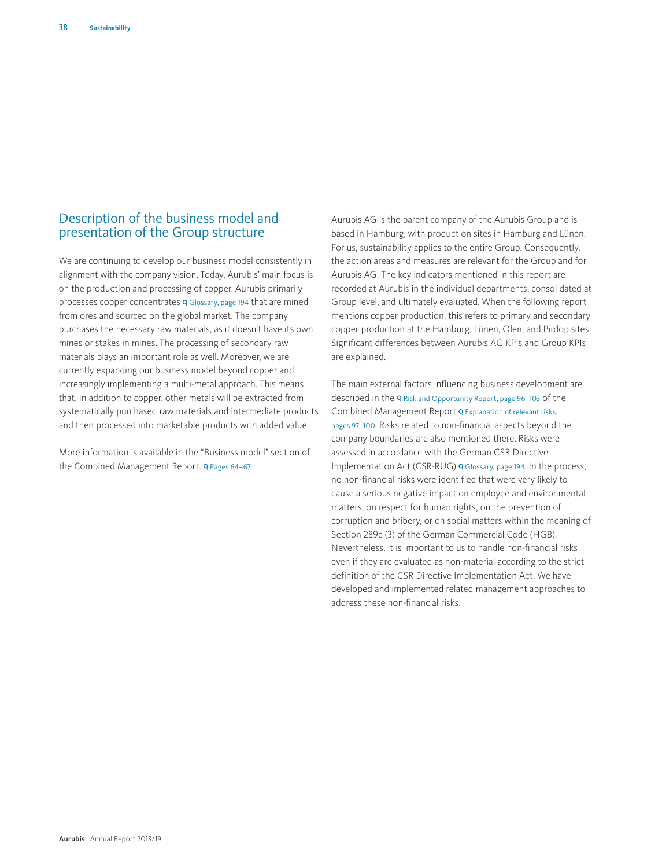# Description of the business model and presentation of the Group structure

We are continuing to develop our business model consistently in alignment with the company vision. Today, Aurubis' main focus is on the production and processing of copper. Aurubis primarily processes copper concentrates Q Glossary, page 194 that are mined from ores and sourced on the global market. The company purchases the necessary raw materials, as it doesn't have its own mines or stakes in mines. The processing of secondary raw materials plays an important role as well. Moreover, we are currently expanding our business model beyond copper and increasingly implementing a multi-metal approach. This means that, in addition to copper, other metals will be extracted from systematically purchased raw materials and intermediate products and then processed into marketable products with added value.

More information is available in the "Business model" section of the Combined Management Report. Q Pages 64-67

Aurubis AG is the parent company of the Aurubis Group and is based in Hamburg, with production sites in Hamburg and Lünen. For us, sustainability applies to the entire Group. Consequently, the action areas and measures are relevant for the Group and for Aurubis AG. The key indicators mentioned in this report are recorded at Aurubis in the individual departments, consolidated at Group level, and ultimately evaluated. When the following report mentions copper production, this refers to primary and secondary copper production at the Hamburg, Lünen, Olen, and Pirdop sites. Significant differences between Aurubis AG KPIs and Group KPIs are explained.

The main external factors influencing business development are described in the Q Risk and Opportunity Report, page 96-103 of the Combined Management Report Q Explanation of relevant risks, pages 97–100. Risks related to non-financial aspects beyond the company boundaries are also mentioned there. Risks were assessed in accordance with the German CSR Directive Implementation Act (CSR-RUG) Q Glossary, page 194. In the process, no non-financial risks were identified that were very likely to cause a serious negative impact on employee and environmental matters, on respect for human rights, on the prevention of corruption and bribery, or on social matters within the meaning of Section 289c (3) of the German Commercial Code (HGB). Nevertheless, it is important to us to handle non-financial risks even if they are evaluated as non-material according to the strict definition of the CSR Directive Implementation Act. We have developed and implemented related management approaches to address these non-financial risks.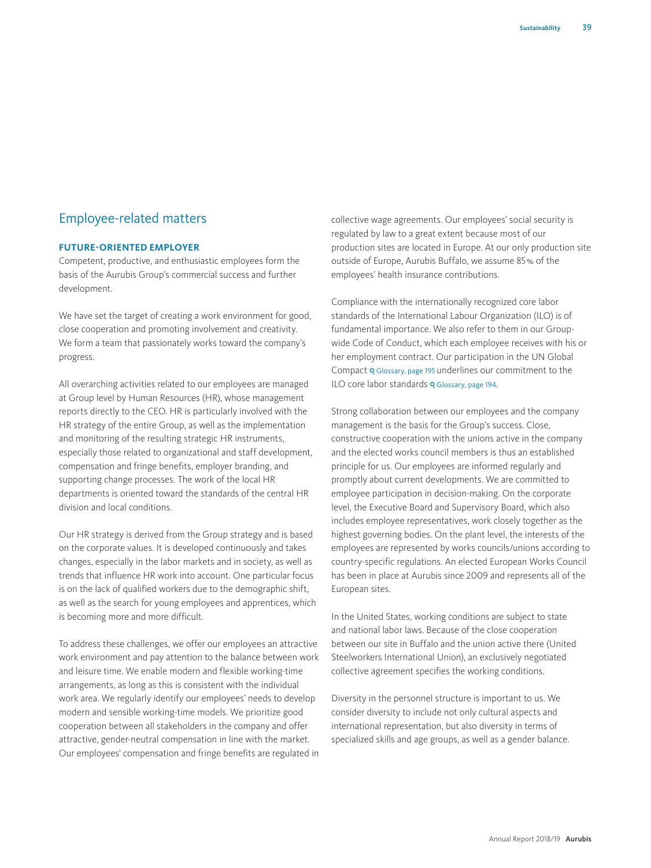# Employee-related matters

#### **FUTURE-ORIENTED EMPLOYER**

Competent, productive, and enthusiastic employees form the basis of the Aurubis Group's commercial success and further development.

We have set the target of creating a work environment for good, close cooperation and promoting involvement and creativity. We form a team that passionately works toward the company's progress.

All overarching activities related to our employees are managed at Group level by Human Resources (HR), whose management reports directly to the CEO. HR is particularly involved with the HR strategy of the entire Group, as well as the implementation and monitoring of the resulting strategic HR instruments, especially those related to organizational and staff development, compensation and fringe benefits, employer branding, and supporting change processes. The work of the local HR departments is oriented toward the standards of the central HR division and local conditions.

Our HR strategy is derived from the Group strategy and is based on the corporate values. It is developed continuously and takes changes, especially in the labor markets and in society, as well as trends that influence HR work into account. One particular focus is on the lack of qualified workers due to the demographic shift, as well as the search for young employees and apprentices, which is becoming more and more difficult.

To address these challenges, we offer our employees an attractive work environment and pay attention to the balance between work and leisure time. We enable modern and flexible working-time arrangements, as long as this is consistent with the individual work area. We regularly identify our employees' needs to develop modern and sensible working-time models. We prioritize good cooperation between all stakeholders in the company and offer attractive, gender-neutral compensation in line with the market. Our employees' compensation and fringe benefits are regulated in collective wage agreements. Our employees' social security is regulated by law to a great extent because most of our production sites are located in Europe. At our only production site outside of Europe, Aurubis Buffalo, we assume 85% of the employees' health insurance contributions.

Compliance with the internationally recognized core labor standards of the International Labour Organization (ILO) is of fundamental importance. We also refer to them in our Groupwide Code of Conduct, which each employee receives with his or her employment contract. Our participation in the UN Global Compact Q Glossary, page 195 underlines our commitment to the ILO core labor standards Q Glossary, page 194.

Strong collaboration between our employees and the company management is the basis for the Group's success. Close, constructive cooperation with the unions active in the company and the elected works council members is thus an established principle for us. Our employees are informed regularly and promptly about current developments. We are committed to employee participation in decision-making. On the corporate level, the Executive Board and Supervisory Board, which also includes employee representatives, work closely together as the highest governing bodies. On the plant level, the interests of the employees are represented by works councils/unions according to country-specific regulations. An elected European Works Council has been in place at Aurubis since 2009 and represents all of the European sites.

In the United States, working conditions are subject to state and national labor laws. Because of the close cooperation between our site in Buffalo and the union active there (United Steelworkers International Union), an exclusively negotiated collective agreement specifies the working conditions.

Diversity in the personnel structure is important to us. We consider diversity to include not only cultural aspects and international representation, but also diversity in terms of specialized skills and age groups, as well as a gender balance.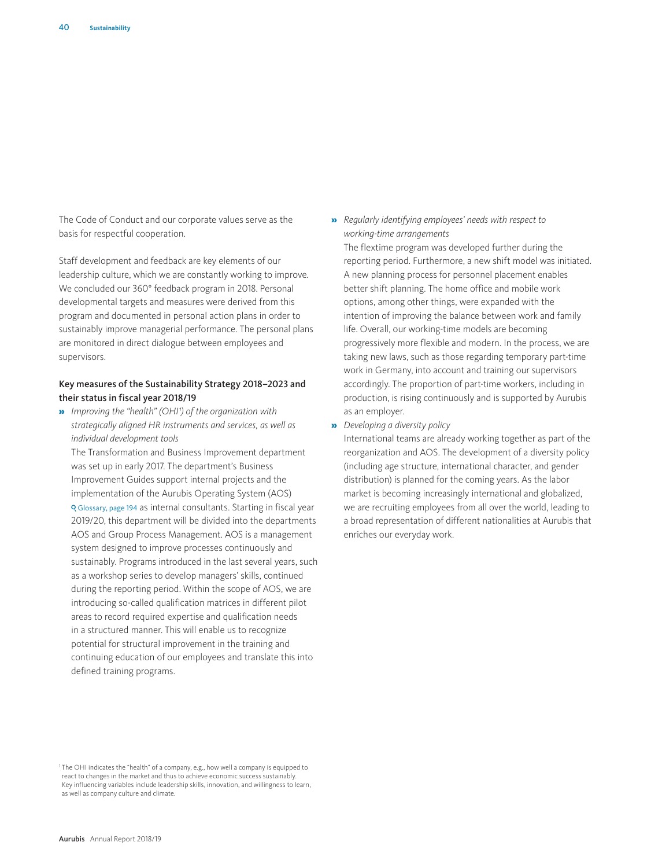The Code of Conduct and our corporate values serve as the basis for respectful cooperation.

Staff development and feedback are key elements of our leadership culture, which we are constantly working to improve. We concluded our 360° feedback program in 2018. Personal developmental targets and measures were derived from this program and documented in personal action plans in order to sustainably improve managerial performance. The personal plans are monitored in direct dialogue between employees and supervisors.

#### Key measures of the Sustainability Strategy 2018–2023 and their status in fiscal year 2018/19

» *Improving the "health" (OHI1) of the organization with strategically aligned HR instruments and services, as well as individual development tools*

The Transformation and Business Improvement department was set up in early 2017. The department's Business Improvement Guides support internal projects and the implementation of the Aurubis Operating System (AOS) Glossary, page 194 as internal consultants. Starting in fiscal year 2019/20, this department will be divided into the departments AOS and Group Process Management. AOS is a management system designed to improve processes continuously and sustainably. Programs introduced in the last several years, such as a workshop series to develop managers' skills, continued during the reporting period. Within the scope of AOS, we are introducing so-called qualification matrices in different pilot areas to record required expertise and qualification needs in a structured manner. This will enable us to recognize potential for structural improvement in the training and continuing education of our employees and translate this into defined training programs.

» *Regularly identifying employees' needs with respect to working-time arrangements*

The flextime program was developed further during the reporting period. Furthermore, a new shift model was initiated. A new planning process for personnel placement enables better shift planning. The home office and mobile work options, among other things, were expanded with the intention of improving the balance between work and family life. Overall, our working-time models are becoming progressively more flexible and modern. In the process, we are taking new laws, such as those regarding temporary part-time work in Germany, into account and training our supervisors accordingly. The proportion of part-time workers, including in production, is rising continuously and is supported by Aurubis as an employer.

» *Developing a diversity policy*

International teams are already working together as part of the reorganization and AOS. The development of a diversity policy (including age structure, international character, and gender distribution) is planned for the coming years. As the labor market is becoming increasingly international and globalized, we are recruiting employees from all over the world, leading to a broad representation of different nationalities at Aurubis that enriches our everyday work.

<sup>1</sup> The OHI indicates the "health" of a company, e.g., how well a company is equipped to react to changes in the market and thus to achieve economic success sustainably. Key influencing variables include leadership skills, innovation, and willingness to learn, as well as company culture and climate.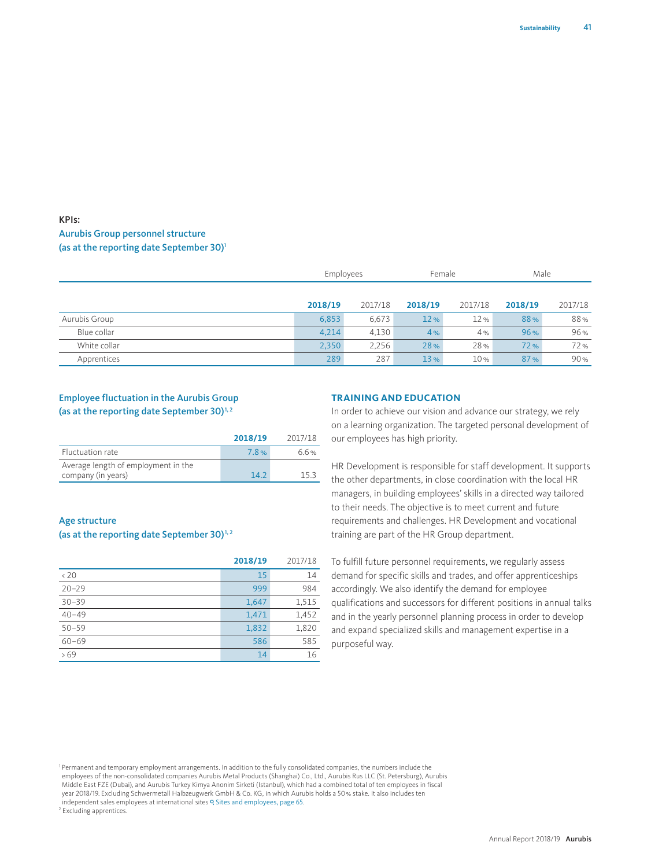# KPIs: Aurubis Group personnel structure (as at the reporting date September 30)<sup>1</sup>

|               | Employees |         | Female  |                 | Male    |         |
|---------------|-----------|---------|---------|-----------------|---------|---------|
|               |           |         |         |                 |         |         |
|               | 2018/19   | 2017/18 | 2018/19 | 2017/18         | 2018/19 | 2017/18 |
| Aurubis Group | 6,853     | 6,673   | 12%     | 12%             | 88%     | 88%     |
| Blue collar   | 4,214     | 4,130   | 4%      | 4%              | 96%     | 96%     |
| White collar  | 2,350     | 2,256   | 28%     | 28%             | 72%     | 72%     |
| Apprentices   | 289       | 287     | 13%     | 10 <sub>%</sub> | 87%     | 90%     |

# Employee fluctuation in the Aurubis Group (as at the reporting date September 30) $^{1,2}$

|                                     | 2018/19 | 2017/18 |
|-------------------------------------|---------|---------|
| Fluctuation rate                    | 7.8%    | 6.6%    |
| Average length of employment in the |         |         |
| company (in years)                  | 142     | 153     |

#### Age structure

#### (as at the reporting date September 30) $^{1,2}$

|              | 2018/19 | 2017/18 |
|--------------|---------|---------|
| $\langle 20$ | 15      | 14      |
| $20 - 29$    | 999     | 984     |
| $30 - 39$    | 1,647   | 1,515   |
| $40 - 49$    | 1,471   | 1,452   |
| $50 - 59$    | 1,832   | 1,820   |
| $60 - 69$    | 586     | 585     |
| 569          | 14      | 16      |

#### **TRAINING AND EDUCATION**

In order to achieve our vision and advance our strategy, we rely on a learning organization. The targeted personal development of our employees has high priority.

HR Development is responsible for staff development. It supports the other departments, in close coordination with the local HR managers, in building employees' skills in a directed way tailored to their needs. The objective is to meet current and future requirements and challenges. HR Development and vocational training are part of the HR Group department.

To fulfill future personnel requirements, we regularly assess demand for specific skills and trades, and offer apprenticeships accordingly. We also identify the demand for employee qualifications and successors for different positions in annual talks and in the yearly personnel planning process in order to develop and expand specialized skills and management expertise in a purposeful way.

<sup>1</sup> Permanent and temporary employment arrangements. In addition to the fully consolidated companies, the numbers include the employees of the non-consolidated companies Aurubis Metal Products (Shanghai) Co., Ltd., Aurubis Rus LLC (St. Petersburg), Aurubis<br>Middle East FZE (Dubai), and Aurubis Turkey Kimya Anonim Sirketi (Istanbul), which had a co year 2018/19. Excluding Schwermetall Halbzeugwerk GmbH & Co. KG, in which Aurubis holds a 50% stake. It also includes ten independent sales employees at international sites Q Sites and employees, page 65.

2 Excluding apprentices.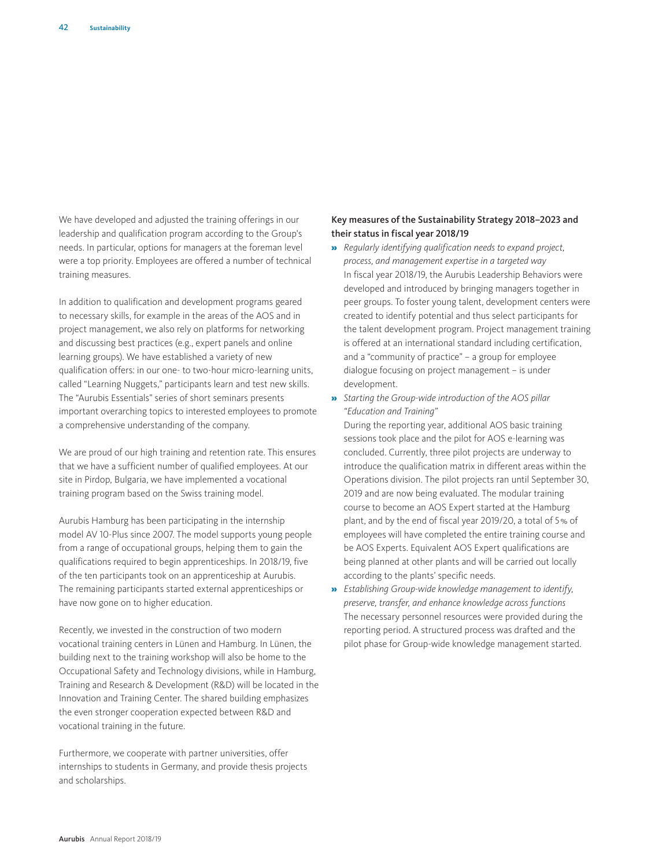We have developed and adjusted the training offerings in our leadership and qualification program according to the Group's needs. In particular, options for managers at the foreman level were a top priority. Employees are offered a number of technical training measures.

In addition to qualification and development programs geared to necessary skills, for example in the areas of the AOS and in project management, we also rely on platforms for networking and discussing best practices (e.g., expert panels and online learning groups). We have established a variety of new qualification offers: in our one- to two-hour micro-learning units, called "Learning Nuggets," participants learn and test new skills. The "Aurubis Essentials" series of short seminars presents important overarching topics to interested employees to promote a comprehensive understanding of the company.

We are proud of our high training and retention rate. This ensures that we have a sufficient number of qualified employees. At our site in Pirdop, Bulgaria, we have implemented a vocational training program based on the Swiss training model.

Aurubis Hamburg has been participating in the internship model AV 10-Plus since 2007. The model supports young people from a range of occupational groups, helping them to gain the qualifications required to begin apprenticeships. In 2018/19, five of the ten participants took on an apprenticeship at Aurubis. The remaining participants started external apprenticeships or have now gone on to higher education.

Recently, we invested in the construction of two modern vocational training centers in Lünen and Hamburg. In Lünen, the building next to the training workshop will also be home to the Occupational Safety and Technology divisions, while in Hamburg, Training and Research & Development (R&D) will be located in the Innovation and Training Center. The shared building emphasizes the even stronger cooperation expected between R&D and vocational training in the future.

Furthermore, we cooperate with partner universities, offer internships to students in Germany, and provide thesis projects and scholarships.

## Key measures of the Sustainability Strategy 2018–2023 and their status in fiscal year 2018/19

- » *Regularly identifying qualification needs to expand project, process, and management expertise in a targeted way*  In fiscal year 2018/19, the Aurubis Leadership Behaviors were developed and introduced by bringing managers together in peer groups. To foster young talent, development centers were created to identify potential and thus select participants for the talent development program. Project management training is offered at an international standard including certification, and a "community of practice" – a group for employee dialogue focusing on project management – is under development.
- » *Starting the Group-wide introduction of the AOS pillar "Education and Training"*

During the reporting year, additional AOS basic training sessions took place and the pilot for AOS e-learning was concluded. Currently, three pilot projects are underway to introduce the qualification matrix in different areas within the Operations division. The pilot projects ran until September 30, 2019 and are now being evaluated. The modular training course to become an AOS Expert started at the Hamburg plant, and by the end of fiscal year 2019/20, a total of 5% of employees will have completed the entire training course and be AOS Experts. Equivalent AOS Expert qualifications are being planned at other plants and will be carried out locally according to the plants' specific needs.

» *Establishing Group-wide knowledge management to identify, preserve, transfer, and enhance knowledge across functions*  The necessary personnel resources were provided during the reporting period. A structured process was drafted and the pilot phase for Group-wide knowledge management started.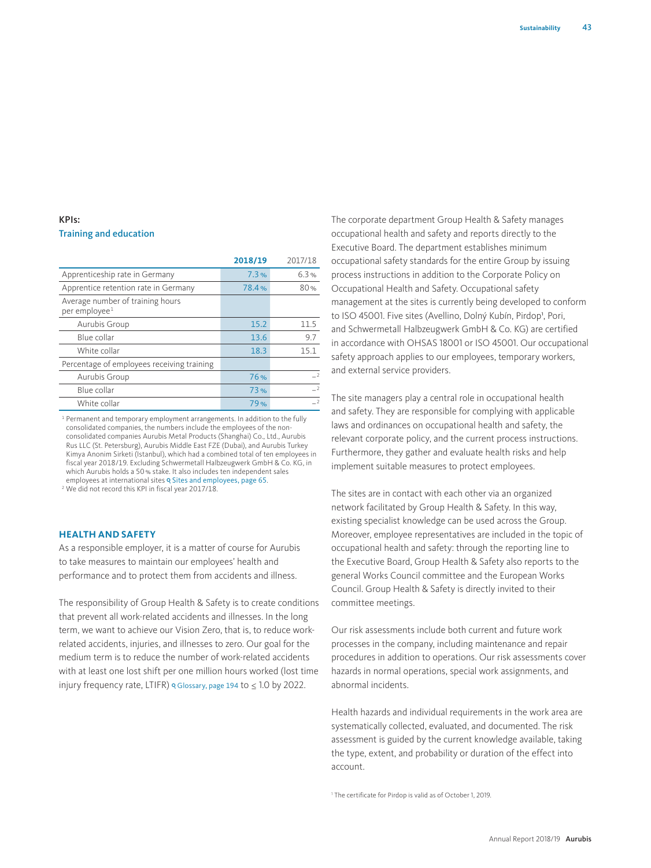## KPIs: Training and education

|                                                               | 2018/19 | 2017/18        |
|---------------------------------------------------------------|---------|----------------|
| Apprenticeship rate in Germany                                | 7.3%    | 6.3%           |
| Apprentice retention rate in Germany                          | 78.4%   | 80%            |
| Average number of training hours<br>per employee <sup>1</sup> |         |                |
| Aurubis Group                                                 | 15.2    | 11.5           |
| Blue collar                                                   | 13.6    | 9.7            |
| White collar                                                  | 18.3    | 15.1           |
| Percentage of employees receiving training                    |         |                |
| Aurubis Group                                                 | 76%     | $\overline{2}$ |
| Blue collar                                                   | 73%     | $\overline{2}$ |
| White collar                                                  | 79%     | $\overline{2}$ |

<sup>1</sup> Permanent and temporary employment arrangements. In addition to the fully consolidated companies, the numbers include the employees of the nonconsolidated companies Aurubis Metal Products (Shanghai) Co., Ltd., Aurubis Rus LLC (St. Petersburg), Aurubis Middle East FZE (Dubai), and Aurubis Turkey Kimya Anonim Sirketi (Istanbul), which had a combined total of ten employees in fiscal year 2018/19. Excluding Schwermetall Halbzeugwerk GmbH & Co. KG, in which Aurubis holds a 50% stake. It also includes ten independent sales employees at international sites Q Sites and employees, page 65.

2 We did not record this KPI in fiscal year 2017/18.

#### **HEALTH AND SAFETY**

As a responsible employer, it is a matter of course for Aurubis to take measures to maintain our employees' health and performance and to protect them from accidents and illness.

The responsibility of Group Health & Safety is to create conditions that prevent all work-related accidents and illnesses. In the long term, we want to achieve our Vision Zero, that is, to reduce workrelated accidents, injuries, and illnesses to zero. Our goal for the medium term is to reduce the number of work-related accidents with at least one lost shift per one million hours worked (lost time injury frequency rate, LTIFR) o Glossary, page 194 to  $\leq 1.0$  by 2022.

The corporate department Group Health & Safety manages occupational health and safety and reports directly to the Executive Board. The department establishes minimum occupational safety standards for the entire Group by issuing process instructions in addition to the Corporate Policy on Occupational Health and Safety. Occupational safety management at the sites is currently being developed to conform to ISO 45001. Five sites (Avellino, Dolný Kubín, Pirdop<sup>1</sup>, Pori, and Schwermetall Halbzeugwerk GmbH & Co. KG) are certified in accordance with OHSAS 18001 or ISO 45001. Our occupational safety approach applies to our employees, temporary workers, and external service providers.

The site managers play a central role in occupational health and safety. They are responsible for complying with applicable laws and ordinances on occupational health and safety, the relevant corporate policy, and the current process instructions. Furthermore, they gather and evaluate health risks and help implement suitable measures to protect employees.

The sites are in contact with each other via an organized network facilitated by Group Health & Safety. In this way, existing specialist knowledge can be used across the Group. Moreover, employee representatives are included in the topic of occupational health and safety: through the reporting line to the Executive Board, Group Health & Safety also reports to the general Works Council committee and the European Works Council. Group Health & Safety is directly invited to their committee meetings.

Our risk assessments include both current and future work processes in the company, including maintenance and repair procedures in addition to operations. Our risk assessments cover hazards in normal operations, special work assignments, and abnormal incidents.

Health hazards and individual requirements in the work area are systematically collected, evaluated, and documented. The risk assessment is guided by the current knowledge available, taking the type, extent, and probability or duration of the effect into account.

<sup>1</sup> The certificate for Pirdop is valid as of October 1, 2019.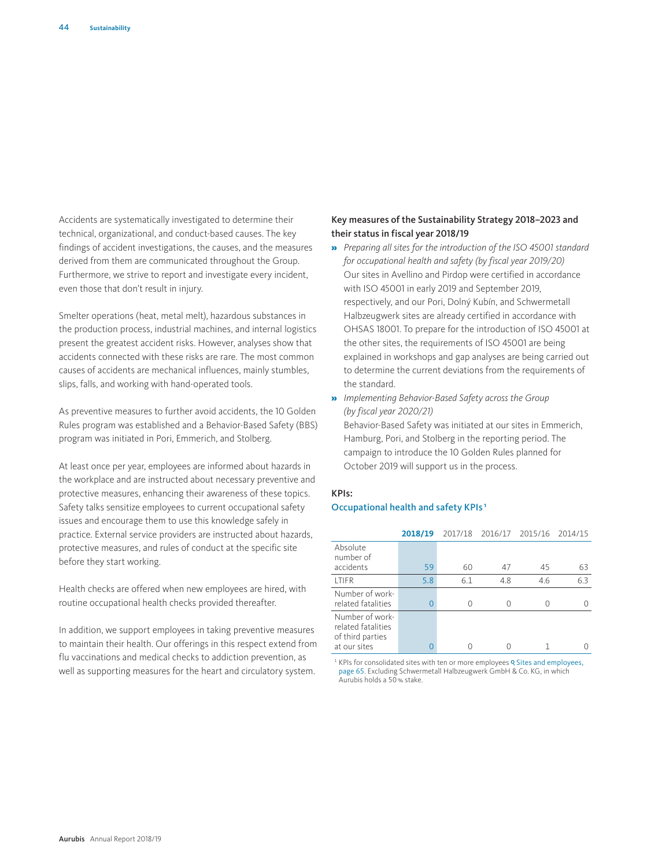Accidents are systematically investigated to determine their technical, organizational, and conduct-based causes. The key findings of accident investigations, the causes, and the measures derived from them are communicated throughout the Group. Furthermore, we strive to report and investigate every incident, even those that don't result in injury.

Smelter operations (heat, metal melt), hazardous substances in the production process, industrial machines, and internal logistics present the greatest accident risks. However, analyses show that accidents connected with these risks are rare. The most common causes of accidents are mechanical influences, mainly stumbles, slips, falls, and working with hand-operated tools.

As preventive measures to further avoid accidents, the 10 Golden Rules program was established and a Behavior-Based Safety (BBS) program was initiated in Pori, Emmerich, and Stolberg.

At least once per year, employees are informed about hazards in the workplace and are instructed about necessary preventive and protective measures, enhancing their awareness of these topics. Safety talks sensitize employees to current occupational safety issues and encourage them to use this knowledge safely in practice. External service providers are instructed about hazards, protective measures, and rules of conduct at the specific site before they start working.

Health checks are offered when new employees are hired, with routine occupational health checks provided thereafter.

In addition, we support employees in taking preventive measures to maintain their health. Our offerings in this respect extend from flu vaccinations and medical checks to addiction prevention, as well as supporting measures for the heart and circulatory system.

#### Key measures of the Sustainability Strategy 2018–2023 and their status in fiscal year 2018/19

- » *Preparing all sites for the introduction of the ISO 45001 standard for occupational health and safety (by fiscal year 2019/20)*  Our sites in Avellino and Pirdop were certified in accordance with ISO 45001 in early 2019 and September 2019, respectively, and our Pori, Dolný Kubín, and Schwermetall Halbzeugwerk sites are already certified in accordance with OHSAS 18001. To prepare for the introduction of ISO 45001 at the other sites, the requirements of ISO 45001 are being explained in workshops and gap analyses are being carried out to determine the current deviations from the requirements of the standard.
- » *Implementing Behavior-Based Safety across the Group (by fiscal year 2020/21)* Behavior-Based Safety was initiated at our sites in Emmerich,

Hamburg, Pori, and Stolberg in the reporting period. The campaign to introduce the 10 Golden Rules planned for October 2019 will support us in the process.

# KPIs:

#### Occupational health and safety KPIs 1

|                                                           | 2018/19 |     |     | 2017/18 2016/17 2015/16 2014/15 |     |
|-----------------------------------------------------------|---------|-----|-----|---------------------------------|-----|
| Absolute<br>number of                                     |         |     |     |                                 |     |
| accidents                                                 | 59      | 60  | 47  | 45                              | 63  |
| <b>ITIFR</b>                                              | 5.8     | 6.1 | 4.8 | 4.6                             | 6.3 |
| Number of work-<br>related fatalities                     | 0       |     | 0   |                                 |     |
| Number of work-<br>related fatalities<br>of third parties |         |     |     |                                 |     |
| at our sites                                              | 0       |     |     |                                 |     |

 $1$  KPIs for consolidated sites with ten or more employees  $9$  Sites and employees, page 65. Excluding Schwermetall Halbzeugwerk GmbH & Co. KG, in which Aurubis holds a 50% stake.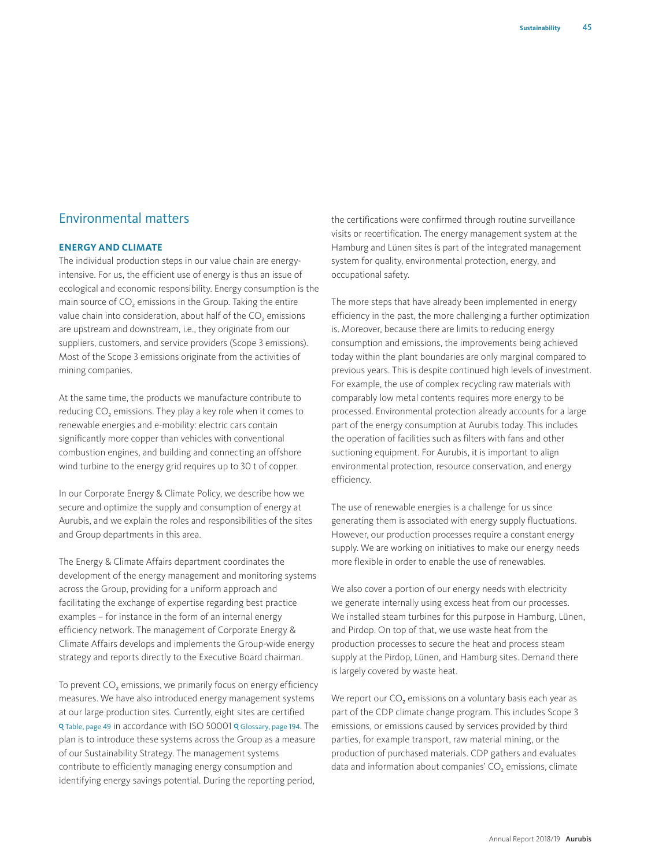# Environmental matters

# **ENERGY AND CLIMATE**

The individual production steps in our value chain are energyintensive. For us, the efficient use of energy is thus an issue of ecological and economic responsibility. Energy consumption is the main source of  $CO<sub>2</sub>$  emissions in the Group. Taking the entire value chain into consideration, about half of the CO<sub>2</sub> emissions are upstream and downstream, i.e., they originate from our suppliers, customers, and service providers (Scope 3 emissions). Most of the Scope 3 emissions originate from the activities of mining companies.

At the same time, the products we manufacture contribute to reducing CO<sub>2</sub> emissions. They play a key role when it comes to renewable energies and e-mobility: electric cars contain significantly more copper than vehicles with conventional combustion engines, and building and connecting an offshore wind turbine to the energy grid requires up to 30 t of copper.

In our Corporate Energy & Climate Policy, we describe how we secure and optimize the supply and consumption of energy at Aurubis, and we explain the roles and responsibilities of the sites and Group departments in this area.

The Energy & Climate Affairs department coordinates the development of the energy management and monitoring systems across the Group, providing for a uniform approach and facilitating the exchange of expertise regarding best practice examples – for instance in the form of an internal energy efficiency network. The management of Corporate Energy & Climate Affairs develops and implements the Group-wide energy strategy and reports directly to the Executive Board chairman.

To prevent CO<sub>2</sub> emissions, we primarily focus on energy efficiency measures. We have also introduced energy management systems at our large production sites. Currently, eight sites are certified Q Table, page 49 in accordance with ISO 50001 Q Glossary, page 194. The plan is to introduce these systems across the Group as a measure of our Sustainability Strategy. The management systems contribute to efficiently managing energy consumption and identifying energy savings potential. During the reporting period,

the certifications were confirmed through routine surveillance visits or recertification. The energy management system at the Hamburg and Lünen sites is part of the integrated management system for quality, environmental protection, energy, and occupational safety.

The more steps that have already been implemented in energy efficiency in the past, the more challenging a further optimization is. Moreover, because there are limits to reducing energy consumption and emissions, the improvements being achieved today within the plant boundaries are only marginal compared to previous years. This is despite continued high levels of investment. For example, the use of complex recycling raw materials with comparably low metal contents requires more energy to be processed. Environmental protection already accounts for a large part of the energy consumption at Aurubis today. This includes the operation of facilities such as filters with fans and other suctioning equipment. For Aurubis, it is important to align environmental protection, resource conservation, and energy efficiency.

The use of renewable energies is a challenge for us since generating them is associated with energy supply fluctuations. However, our production processes require a constant energy supply. We are working on initiatives to make our energy needs more flexible in order to enable the use of renewables.

We also cover a portion of our energy needs with electricity we generate internally using excess heat from our processes. We installed steam turbines for this purpose in Hamburg, Lünen, and Pirdop. On top of that, we use waste heat from the production processes to secure the heat and process steam supply at the Pirdop, Lünen, and Hamburg sites. Demand there is largely covered by waste heat.

We report our  $CO<sub>2</sub>$  emissions on a voluntary basis each year as part of the CDP climate change program. This includes Scope 3 emissions, or emissions caused by services provided by third parties, for example transport, raw material mining, or the production of purchased materials. CDP gathers and evaluates data and information about companies' CO<sub>2</sub> emissions, climate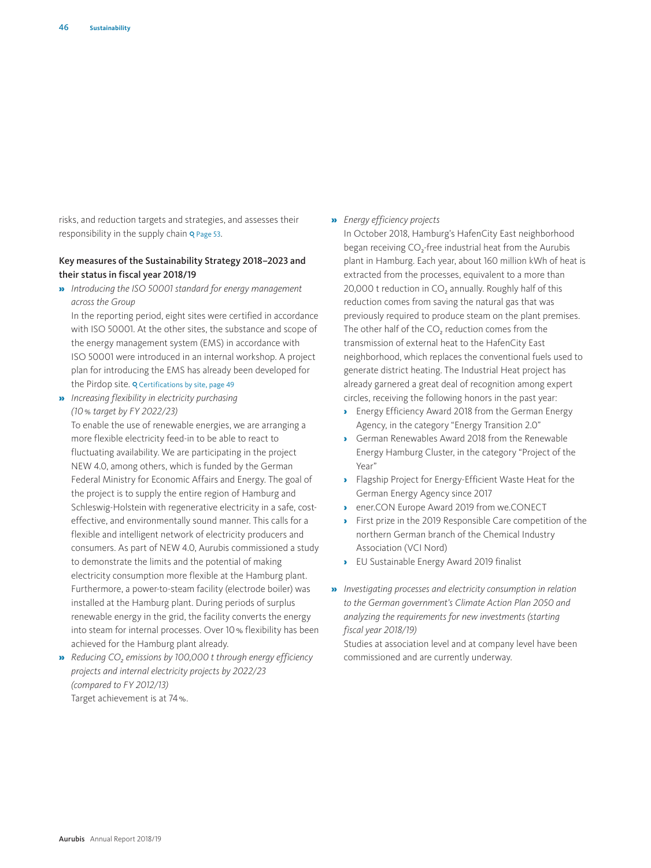risks, and reduction targets and strategies, and assesses their responsibility in the supply chain Q Page 53.

## Key measures of the Sustainability Strategy 2018–2023 and their status in fiscal year 2018/19

» *Introducing the ISO 50001 standard for energy management across the Group*

In the reporting period, eight sites were certified in accordance with ISO 50001. At the other sites, the substance and scope of the energy management system (EMS) in accordance with ISO 50001 were introduced in an internal workshop. A project plan for introducing the EMS has already been developed for the Pirdop site. Q Certifications by site, page 49

» *Increasing flexibility in electricity purchasing (10% target by FY 2022/23)*

To enable the use of renewable energies, we are arranging a more flexible electricity feed-in to be able to react to fluctuating availability. We are participating in the project NEW 4.0, among others, which is funded by the German Federal Ministry for Economic Affairs and Energy. The goal of the project is to supply the entire region of Hamburg and Schleswig-Holstein with regenerative electricity in a safe, costeffective, and environmentally sound manner. This calls for a flexible and intelligent network of electricity producers and consumers. As part of NEW 4.0, Aurubis commissioned a study to demonstrate the limits and the potential of making electricity consumption more flexible at the Hamburg plant. Furthermore, a power-to-steam facility (electrode boiler) was installed at the Hamburg plant. During periods of surplus renewable energy in the grid, the facility converts the energy into steam for internal processes. Over 10% flexibility has been achieved for the Hamburg plant already.

**»** *Reducing CO<sub>2</sub> emissions by 100,000 t through energy efficiency projects and internal electricity projects by 2022/23 (compared to FY 2012/13)* Target achievement is at 74%.

#### » *Energy efficiency projects*

In October 2018, Hamburg's HafenCity East neighborhood began receiving CO<sub>2</sub>-free industrial heat from the Aurubis plant in Hamburg. Each year, about 160 million kWh of heat is extracted from the processes, equivalent to a more than 20,000 t reduction in CO<sub>2</sub> annually. Roughly half of this reduction comes from saving the natural gas that was previously required to produce steam on the plant premises. The other half of the CO<sub>2</sub> reduction comes from the transmission of external heat to the HafenCity East neighborhood, which replaces the conventional fuels used to generate district heating. The Industrial Heat project has already garnered a great deal of recognition among expert circles, receiving the following honors in the past year:

- › Energy Efficiency Award 2018 from the German Energy Agency, in the category "Energy Transition 2.0"
- German Renewables Award 2018 from the Renewable Energy Hamburg Cluster, in the category "Project of the Year"
- › Flagship Project for Energy-Efficient Waste Heat for the German Energy Agency since 2017
- › ener.CON Europe Award 2019 from we.CONECT
- › First prize in the 2019 Responsible Care competition of the northern German branch of the Chemical Industry Association (VCI Nord)
- › EU Sustainable Energy Award 2019 finalist
- » *Investigating processes and electricity consumption in relation to the German government's Climate Action Plan 2050 and analyzing the requirements for new investments (starting fiscal year 2018/19)*

Studies at association level and at company level have been commissioned and are currently underway.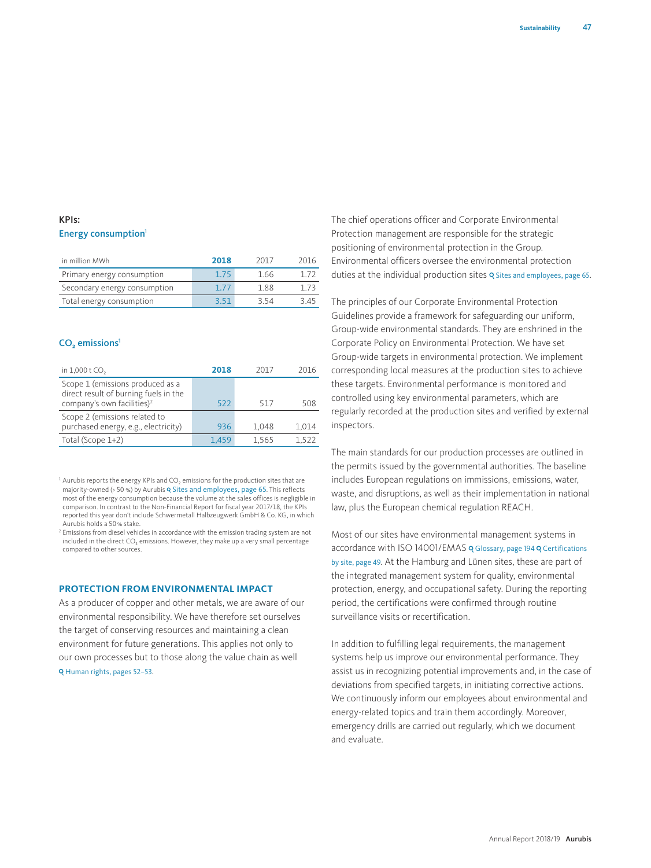# KPIs: Energy consumption<sup>1</sup>

| in million MWh               | 2018 | 2017 | 2016 |
|------------------------------|------|------|------|
| Primary energy consumption   | 1.75 | 1.66 |      |
| Secondary energy consumption | 1.77 | 188  | 173  |
| Total energy consumption     | 3.51 | 3.54 | 345  |

#### $CO<sub>2</sub>$  emissions<sup>1</sup>

| in 1,000 t CO <sub>2</sub>                                                                                          | 2018  | 2017  | 2016  |
|---------------------------------------------------------------------------------------------------------------------|-------|-------|-------|
| Scope 1 (emissions produced as a<br>direct result of burning fuels in the<br>company's own facilities) <sup>2</sup> | 522   | 517   | 508   |
| Scope 2 (emissions related to<br>purchased energy, e.g., electricity)                                               | 936   | 1.048 | 1,014 |
| Total (Scope 1+2)                                                                                                   | 1.459 | 1.565 | 1.522 |

 $1$  Aurubis reports the energy KPIs and CO<sub>2</sub> emissions for the production sites that are majority-owned (> 50 %) by Aurubis Q Sites and employees, page 65. This reflects most of the energy consumption because the volume at the sales offices is negligible in comparison. In contrast to the Non-Financial Report for fiscal year 2017/18, the KPIs reported this year don't include Schwermetall Halbzeugwerk GmbH & Co. KG, in which Aurubis holds a 50% stake.

<sup>2</sup> Emissions from diesel vehicles in accordance with the emission trading system are not included in the direct  $CO<sub>2</sub>$  emissions. However, they make up a very small percentage compared to other sources.

#### **PROTECTION FROM ENVIRONMENTAL IMPACT**

As a producer of copper and other metals, we are aware of our environmental responsibility. We have therefore set ourselves the target of conserving resources and maintaining a clean environment for future generations. This applies not only to our own processes but to those along the value chain as well Q Human rights, pages 52-53.

The chief operations officer and Corporate Environmental Protection management are responsible for the strategic positioning of environmental protection in the Group. Environmental officers oversee the environmental protection duties at the individual production sites Q Sites and employees, page 65.

The principles of our Corporate Environmental Protection Guidelines provide a framework for safeguarding our uniform, Group-wide environmental standards. They are enshrined in the Corporate Policy on Environmental Protection. We have set Group-wide targets in environmental protection. We implement corresponding local measures at the production sites to achieve these targets. Environmental performance is monitored and controlled using key environmental parameters, which are regularly recorded at the production sites and verified by external inspectors.

The main standards for our production processes are outlined in the permits issued by the governmental authorities. The baseline includes European regulations on immissions, emissions, water, waste, and disruptions, as well as their implementation in national law, plus the European chemical regulation REACH.

Most of our sites have environmental management systems in accordance with ISO 14001/EMAS Q Glossary, page 194 Q Certifications by site, page 49. At the Hamburg and Lünen sites, these are part of the integrated management system for quality, environmental protection, energy, and occupational safety. During the reporting period, the certifications were confirmed through routine surveillance visits or recertification.

In addition to fulfilling legal requirements, the management systems help us improve our environmental performance. They assist us in recognizing potential improvements and, in the case of deviations from specified targets, in initiating corrective actions. We continuously inform our employees about environmental and energy-related topics and train them accordingly. Moreover, emergency drills are carried out regularly, which we document and evaluate.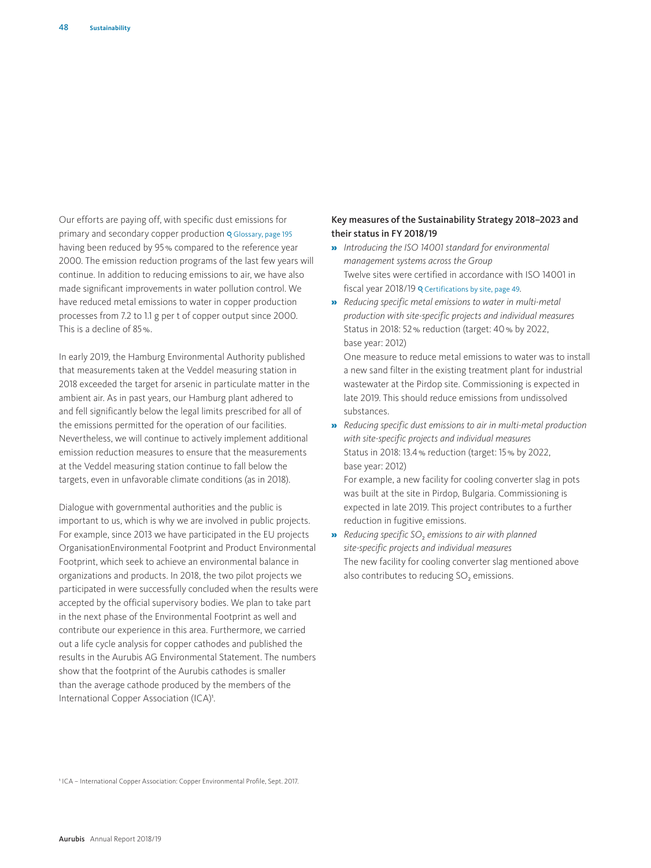Our efforts are paying off, with specific dust emissions for primary and secondary copper production Q Glossary, page 195 having been reduced by 95% compared to the reference year 2000. The emission reduction programs of the last few years will continue. In addition to reducing emissions to air, we have also made significant improvements in water pollution control. We have reduced metal emissions to water in copper production processes from 7.2 to 1.1 g per t of copper output since 2000. This is a decline of 85%.

In early 2019, the Hamburg Environmental Authority published that measurements taken at the Veddel measuring station in 2018 exceeded the target for arsenic in particulate matter in the ambient air. As in past years, our Hamburg plant adhered to and fell significantly below the legal limits prescribed for all of the emissions permitted for the operation of our facilities. Nevertheless, we will continue to actively implement additional emission reduction measures to ensure that the measurements at the Veddel measuring station continue to fall below the targets, even in unfavorable climate conditions (as in 2018).

Dialogue with governmental authorities and the public is important to us, which is why we are involved in public projects. For example, since 2013 we have participated in the EU projects OrganisationEnvironmental Footprint and Product Environmental Footprint, which seek to achieve an environmental balance in organizations and products. In 2018, the two pilot projects we participated in were successfully concluded when the results were accepted by the official supervisory bodies. We plan to take part in the next phase of the Environmental Footprint as well and contribute our experience in this area. Furthermore, we carried out a life cycle analysis for copper cathodes and published the results in the Aurubis AG Environmental Statement. The numbers show that the footprint of the Aurubis cathodes is smaller than the average cathode produced by the members of the International Copper Association (ICA)<sup>1</sup>.

## Key measures of the Sustainability Strategy 2018–2023 and their status in FY 2018/19

- » *Introducing the ISO 14001 standard for environmental management systems across the Group* Twelve sites were certified in accordance with ISO 14001 in fiscal year 2018/19 o Certifications by site, page 49.
- » *Reducing specific metal emissions to water in multi-metal production with site-specific projects and individual measures* Status in 2018: 52% reduction (target: 40% by 2022, base year: 2012)

One measure to reduce metal emissions to water was to install a new sand filter in the existing treatment plant for industrial wastewater at the Pirdop site. Commissioning is expected in late 2019. This should reduce emissions from undissolved substances.

» *Reducing specific dust emissions to air in multi-metal production with site-specific projects and individual measures*  Status in 2018: 13.4% reduction (target: 15% by 2022, base year: 2012)

For example, a new facility for cooling converter slag in pots was built at the site in Pirdop, Bulgaria. Commissioning is expected in late 2019. This project contributes to a further reduction in fugitive emissions.

» *Reducing specific SO*2 *emissions to air with planned site-specific projects and individual measures* The new facility for cooling converter slag mentioned above also contributes to reducing SO<sub>2</sub> emissions.

1 ICA – International Copper Association: Copper Environmental Profile, Sept. 2017.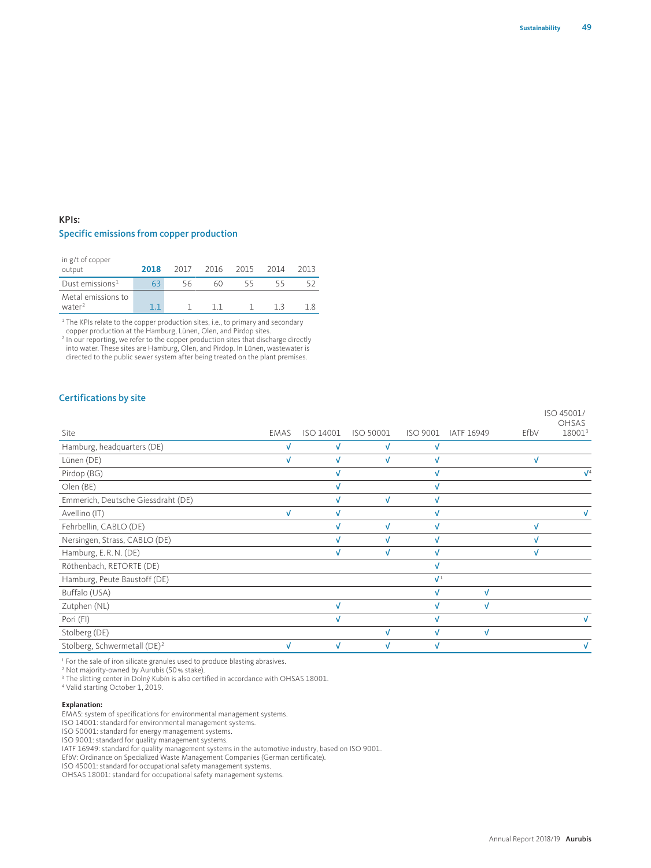# KPIs: Specific emissions from copper production

| in g/t of copper<br>output               | 2018 | 2017 | 2016 | 2015 | 2014 | 2013 |
|------------------------------------------|------|------|------|------|------|------|
| Dust emissions <sup>1</sup>              | 63   | 56   | 60   | 55   | 55   |      |
| Metal emissions to<br>water <sup>2</sup> |      |      |      |      |      |      |

<sup>1</sup> The KPIs relate to the copper production sites, i.e., to primary and secondary

copper production at the Hamburg, Lünen, Olen, and Pirdop sites. <sup>2</sup> In our reporting, we refer to the copper production sites that discharge directly into water. These sites are Hamburg, Olen, and Pirdop. In Lünen, wastewater is directed to the public sewer system after being treated on the plant premises.

#### Certifications by site

|                                          |            |           |           |                |            |      | ISO 45001/<br><b>OHSAS</b> |
|------------------------------------------|------------|-----------|-----------|----------------|------------|------|----------------------------|
| Site                                     | EMAS       | ISO 14001 | ISO 50001 | ISO 9001       | IATF 16949 | EfbV | 180013                     |
| Hamburg, headquarters (DE)               | v          | v         | v         |                |            |      |                            |
| Lünen (DE)                               |            |           | v         |                |            |      |                            |
| Pirdop (BG)                              |            |           |           |                |            |      | $\sqrt{4}$                 |
| Olen (BE)                                |            |           |           |                |            |      |                            |
| Emmerich, Deutsche Giessdraht (DE)       |            |           | V         |                |            |      |                            |
| Avellino (IT)                            | $\sqrt{ }$ | M         |           |                |            |      |                            |
| Fehrbellin, CABLO (DE)                   |            |           | V         |                |            |      |                            |
| Nersingen, Strass, CABLO (DE)            |            |           | v         |                |            |      |                            |
| Hamburg, E.R.N. (DE)                     |            | v         | V         |                |            |      |                            |
| Röthenbach, RETORTE (DE)                 |            |           |           |                |            |      |                            |
| Hamburg, Peute Baustoff (DE)             |            |           |           | $\mathbf{V}^1$ |            |      |                            |
| Buffalo (USA)                            |            |           |           |                | V          |      |                            |
| Zutphen (NL)                             |            |           |           |                |            |      |                            |
| Pori (FI)                                |            |           |           |                |            |      |                            |
| Stolberg (DE)                            |            |           | V         |                | V          |      |                            |
| Stolberg, Schwermetall (DE) <sup>2</sup> |            |           |           |                |            |      |                            |

1 For the sale of iron silicate granules used to produce blasting abrasives.

<sup>2</sup> Not majority-owned by Aurubis (50 % stake).<br><sup>3</sup> The slitting center in Dolný Kubín is also certified in accordance with OHSAS 18001.<br><sup>4 Valid starting October 1, 2019.</sup>

<sup>4</sup> Valid starting October 1, 2019.

#### **Explanation:**

EMAS: system of specifications for environmental management systems.

ISO 14001: standard for environmental management systems.

ISO 50001: standard for energy management systems.

ISO 9001: standard for quality management systems.

IATF 16949: standard for quality management systems in the automotive industry, based on ISO 9001. EfbV: Ordinance on Specialized Waste Management Companies (German certificate).

ISO 45001: standard for occupational safety management systems.

OHSAS 18001: standard for occupational safety management systems.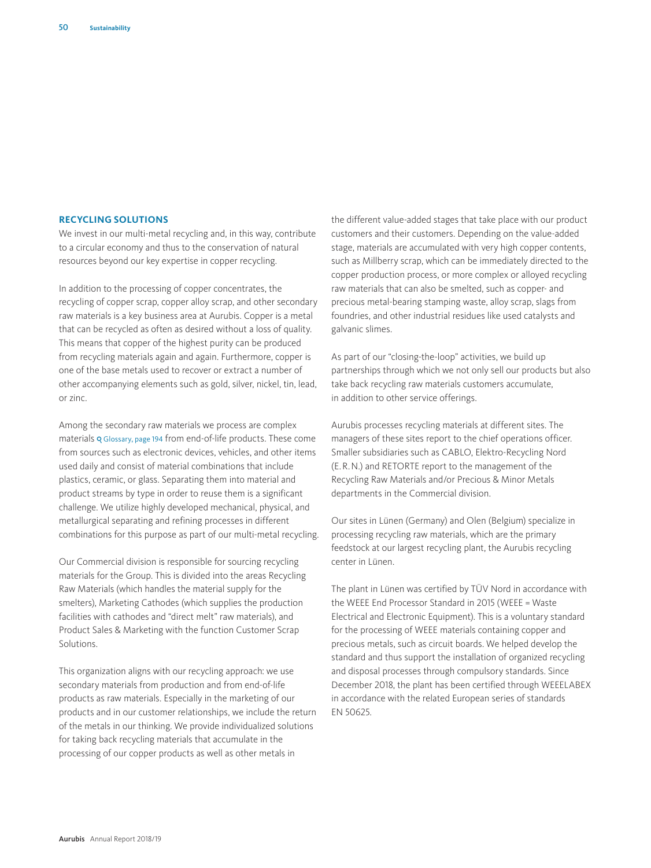#### **RECYCLING SOLUTIONS**

We invest in our multi-metal recycling and, in this way, contribute to a circular economy and thus to the conservation of natural resources beyond our key expertise in copper recycling.

In addition to the processing of copper concentrates, the recycling of copper scrap, copper alloy scrap, and other secondary raw materials is a key business area at Aurubis. Copper is a metal that can be recycled as often as desired without a loss of quality. This means that copper of the highest purity can be produced from recycling materials again and again. Furthermore, copper is one of the base metals used to recover or extract a number of other accompanying elements such as gold, silver, nickel, tin, lead, or zinc.

Among the secondary raw materials we process are complex materials Q Glossary, page 194 from end-of-life products. These come from sources such as electronic devices, vehicles, and other items used daily and consist of material combinations that include plastics, ceramic, or glass. Separating them into material and product streams by type in order to reuse them is a significant challenge. We utilize highly developed mechanical, physical, and metallurgical separating and refining processes in different combinations for this purpose as part of our multi-metal recycling.

Our Commercial division is responsible for sourcing recycling materials for the Group. This is divided into the areas Recycling Raw Materials (which handles the material supply for the smelters), Marketing Cathodes (which supplies the production facilities with cathodes and "direct melt" raw materials), and Product Sales & Marketing with the function Customer Scrap Solutions.

This organization aligns with our recycling approach: we use secondary materials from production and from end-of-life products as raw materials. Especially in the marketing of our products and in our customer relationships, we include the return of the metals in our thinking. We provide individualized solutions for taking back recycling materials that accumulate in the processing of our copper products as well as other metals in

the different value-added stages that take place with our product customers and their customers. Depending on the value-added stage, materials are accumulated with very high copper contents, such as Millberry scrap, which can be immediately directed to the copper production process, or more complex or alloyed recycling raw materials that can also be smelted, such as copper- and precious metal-bearing stamping waste, alloy scrap, slags from foundries, and other industrial residues like used catalysts and galvanic slimes.

As part of our "closing-the-loop" activities, we build up partnerships through which we not only sell our products but also take back recycling raw materials customers accumulate, in addition to other service offerings.

Aurubis processes recycling materials at different sites. The managers of these sites report to the chief operations officer. Smaller subsidiaries such as CABLO, Elektro-Recycling Nord (E.R.N.) and RETORTE report to the management of the Recycling Raw Materials and/or Precious & Minor Metals departments in the Commercial division.

Our sites in Lünen (Germany) and Olen (Belgium) specialize in processing recycling raw materials, which are the primary feedstock at our largest recycling plant, the Aurubis recycling center in Lünen.

The plant in Lünen was certified by TÜV Nord in accordance with the WEEE End Processor Standard in 2015 (WEEE = Waste Electrical and Electronic Equipment). This is a voluntary standard for the processing of WEEE materials containing copper and precious metals, such as circuit boards. We helped develop the standard and thus support the installation of organized recycling and disposal processes through compulsory standards. Since December 2018, the plant has been certified through WEEELABEX in accordance with the related European series of standards EN 50625.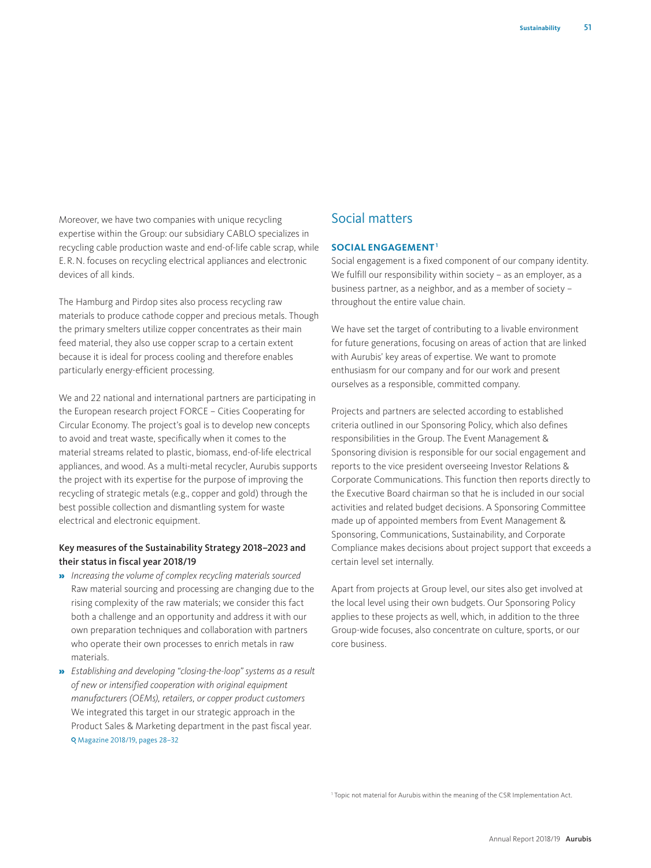Moreover, we have two companies with unique recycling expertise within the Group: our subsidiary CABLO specializes in recycling cable production waste and end-of-life cable scrap, while E.R.N. focuses on recycling electrical appliances and electronic devices of all kinds.

The Hamburg and Pirdop sites also process recycling raw materials to produce cathode copper and precious metals. Though the primary smelters utilize copper concentrates as their main feed material, they also use copper scrap to a certain extent because it is ideal for process cooling and therefore enables particularly energy-efficient processing.

We and 22 national and international partners are participating in the European research project FORCE – Cities Cooperating for Circular Economy. The project's goal is to develop new concepts to avoid and treat waste, specifically when it comes to the material streams related to plastic, biomass, end-of-life electrical appliances, and wood. As a multi-metal recycler, Aurubis supports the project with its expertise for the purpose of improving the recycling of strategic metals (e.g., copper and gold) through the best possible collection and dismantling system for waste electrical and electronic equipment.

## Key measures of the Sustainability Strategy 2018–2023 and their status in fiscal year 2018/19

- » *Increasing the volume of complex recycling materials sourced* Raw material sourcing and processing are changing due to the rising complexity of the raw materials; we consider this fact both a challenge and an opportunity and address it with our own preparation techniques and collaboration with partners who operate their own processes to enrich metals in raw materials.
- » *Establishing and developing "closing-the-loop" systems as a result of new or intensified cooperation with original equipment manufacturers (OEMs), retailers, or copper product customers* We integrated this target in our strategic approach in the Product Sales & Marketing department in the past fiscal year. Magazine 2018/19, pages 28–32

# Social matters

#### **SOCIAL ENGAGEMENT1**

Social engagement is a fixed component of our company identity. We fulfill our responsibility within society – as an employer, as a business partner, as a neighbor, and as a member of society – throughout the entire value chain.

We have set the target of contributing to a livable environment for future generations, focusing on areas of action that are linked with Aurubis' key areas of expertise. We want to promote enthusiasm for our company and for our work and present ourselves as a responsible, committed company.

Projects and partners are selected according to established criteria outlined in our Sponsoring Policy, which also defines responsibilities in the Group. The Event Management & Sponsoring division is responsible for our social engagement and reports to the vice president overseeing Investor Relations & Corporate Communications. This function then reports directly to the Executive Board chairman so that he is included in our social activities and related budget decisions. A Sponsoring Committee made up of appointed members from Event Management & Sponsoring, Communications, Sustainability, and Corporate Compliance makes decisions about project support that exceeds a certain level set internally.

Apart from projects at Group level, our sites also get involved at the local level using their own budgets. Our Sponsoring Policy applies to these projects as well, which, in addition to the three Group-wide focuses, also concentrate on culture, sports, or our core business.

<sup>1</sup> Topic not material for Aurubis within the meaning of the CSR Implementation Act.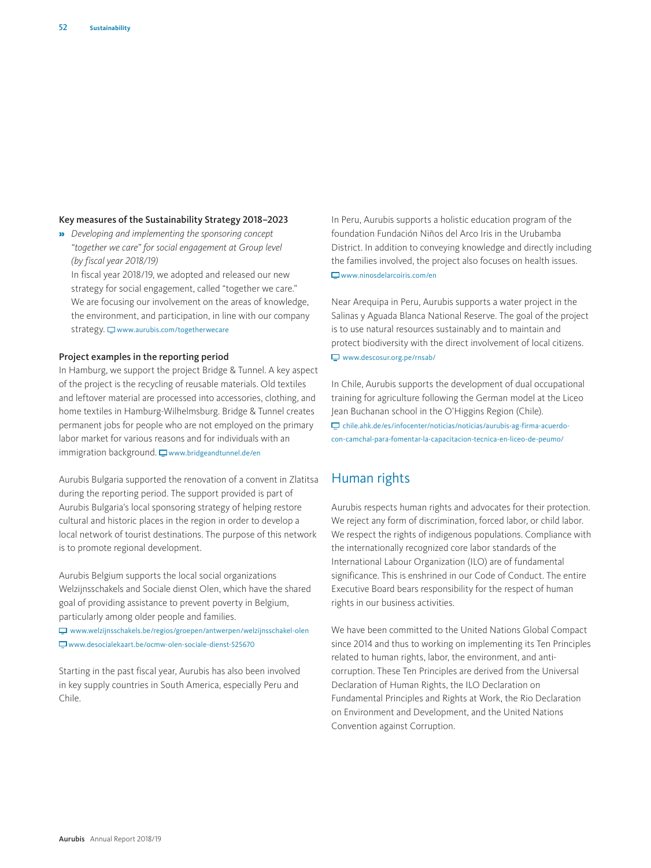# Key measures of the Sustainability Strategy 2018–2023

» *Developing and implementing the sponsoring concept "together we care" for social engagement at Group level (by fiscal year 2018/19)*

In fiscal year 2018/19, we adopted and released our new strategy for social engagement, called "together we care." We are focusing our involvement on the areas of knowledge, the environment, and participation, in line with our company strategy.  $\Box$  www.aurubis.com/togetherwecare

## Project examples in the reporting period

In Hamburg, we support the project Bridge & Tunnel. A key aspect of the project is the recycling of reusable materials. Old textiles and leftover material are processed into accessories, clothing, and home textiles in Hamburg-Wilhelmsburg. Bridge & Tunnel creates permanent jobs for people who are not employed on the primary labor market for various reasons and for individuals with an  $immigration$  background.  $\Box$  www.bridgeandtunnel.de/en

Aurubis Bulgaria supported the renovation of a convent in Zlatitsa during the reporting period. The support provided is part of Aurubis Bulgaria's local sponsoring strategy of helping restore cultural and historic places in the region in order to develop a local network of tourist destinations. The purpose of this network is to promote regional development.

Aurubis Belgium supports the local social organizations Welzijnsschakels and Sociale dienst Olen, which have the shared goal of providing assistance to prevent poverty in Belgium, particularly among older people and families.

 www.welzijnsschakels.be/regios/groepen/antwerpen/welzijnsschakel-olen www.desocialekaart.be/ocmw-olen-sociale-dienst-525670

Starting in the past fiscal year, Aurubis has also been involved in key supply countries in South America, especially Peru and Chile.

In Peru, Aurubis supports a holistic education program of the foundation Fundación Niños del Arco Iris in the Urubamba District. In addition to conveying knowledge and directly including the families involved, the project also focuses on health issues.  $\Box$ www.ninosdelarcoiris.com/en

Near Arequipa in Peru, Aurubis supports a water project in the Salinas y Aguada Blanca National Reserve. The goal of the project is to use natural resources sustainably and to maintain and protect biodiversity with the direct involvement of local citizens. www.descosur.org.pe/rnsab/

In Chile, Aurubis supports the development of dual occupational training for agriculture following the German model at the Liceo Jean Buchanan school in the O'Higgins Region (Chile). chile.ahk.de/es/infocenter/noticias/noticias/aurubis-ag-firma-acuerdocon-camchal-para-fomentar-la-capacitacion-tecnica-en-liceo-de-peumo/

# Human rights

Aurubis respects human rights and advocates for their protection. We reject any form of discrimination, forced labor, or child labor. We respect the rights of indigenous populations. Compliance with the internationally recognized core labor standards of the International Labour Organization (ILO) are of fundamental significance. This is enshrined in our Code of Conduct. The entire Executive Board bears responsibility for the respect of human rights in our business activities.

We have been committed to the United Nations Global Compact since 2014 and thus to working on implementing its Ten Principles related to human rights, labor, the environment, and anticorruption. These Ten Principles are derived from the Universal Declaration of Human Rights, the ILO Declaration on Fundamental Principles and Rights at Work, the Rio Declaration on Environment and Development, and the United Nations Convention against Corruption.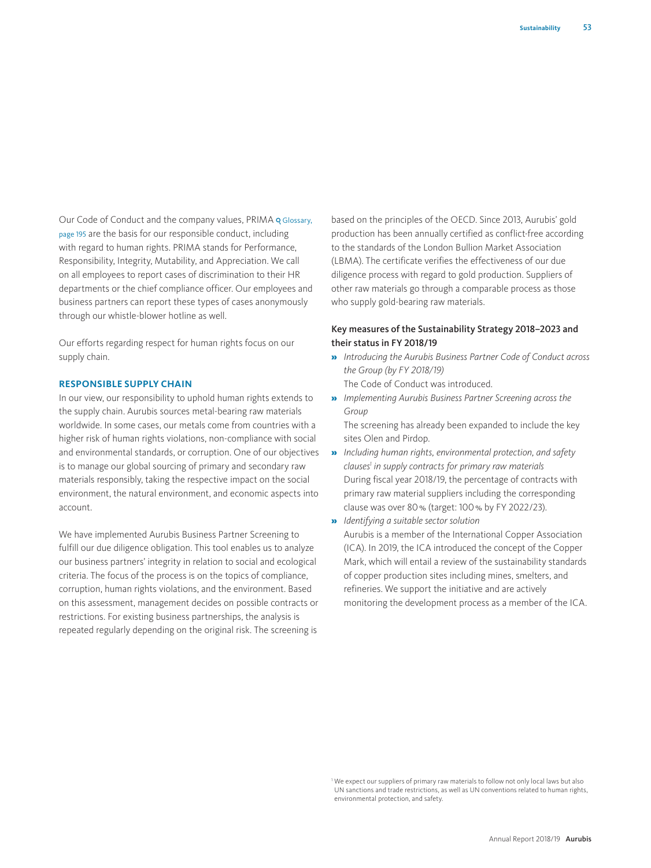Our Code of Conduct and the company values, PRIMA & Glossary, page 195 are the basis for our responsible conduct, including with regard to human rights. PRIMA stands for Performance, Responsibility, Integrity, Mutability, and Appreciation. We call on all employees to report cases of discrimination to their HR departments or the chief compliance officer. Our employees and business partners can report these types of cases anonymously through our whistle-blower hotline as well.

Our efforts regarding respect for human rights focus on our supply chain.

#### **RESPONSIBLE SUPPLY CHAIN**

In our view, our responsibility to uphold human rights extends to the supply chain. Aurubis sources metal-bearing raw materials worldwide. In some cases, our metals come from countries with a higher risk of human rights violations, non-compliance with social and environmental standards, or corruption. One of our objectives is to manage our global sourcing of primary and secondary raw materials responsibly, taking the respective impact on the social environment, the natural environment, and economic aspects into account.

We have implemented Aurubis Business Partner Screening to fulfill our due diligence obligation. This tool enables us to analyze our business partners' integrity in relation to social and ecological criteria. The focus of the process is on the topics of compliance, corruption, human rights violations, and the environment. Based on this assessment, management decides on possible contracts or restrictions. For existing business partnerships, the analysis is repeated regularly depending on the original risk. The screening is

based on the principles of the OECD. Since 2013, Aurubis' gold production has been annually certified as conflict-free according to the standards of the London Bullion Market Association (LBMA). The certificate verifies the effectiveness of our due diligence process with regard to gold production. Suppliers of other raw materials go through a comparable process as those who supply gold-bearing raw materials.

# Key measures of the Sustainability Strategy 2018–2023 and their status in FY 2018/19

- » *Introducing the Aurubis Business Partner Code of Conduct across the Group (by FY 2018/19)* The Code of Conduct was introduced.
- » *Implementing Aurubis Business Partner Screening across the Group*

The screening has already been expanded to include the key sites Olen and Pirdop.

- » *Including human rights, environmental protection, and safety clauses1 in supply contracts for primary raw materials* During fiscal year 2018/19, the percentage of contracts with primary raw material suppliers including the corresponding clause was over 80% (target: 100% by FY 2022/23).
- » *Identifying a suitable sector solution*  Aurubis is a member of the International Copper Association (ICA). In 2019, the ICA introduced the concept of the Copper Mark, which will entail a review of the sustainability standards of copper production sites including mines, smelters, and refineries. We support the initiative and are actively monitoring the development process as a member of the ICA.

<sup>&</sup>lt;sup>1</sup> We expect our suppliers of primary raw materials to follow not only local laws but also UN sanctions and trade restrictions, as well as UN conventions related to human rights, environmental protection, and safety.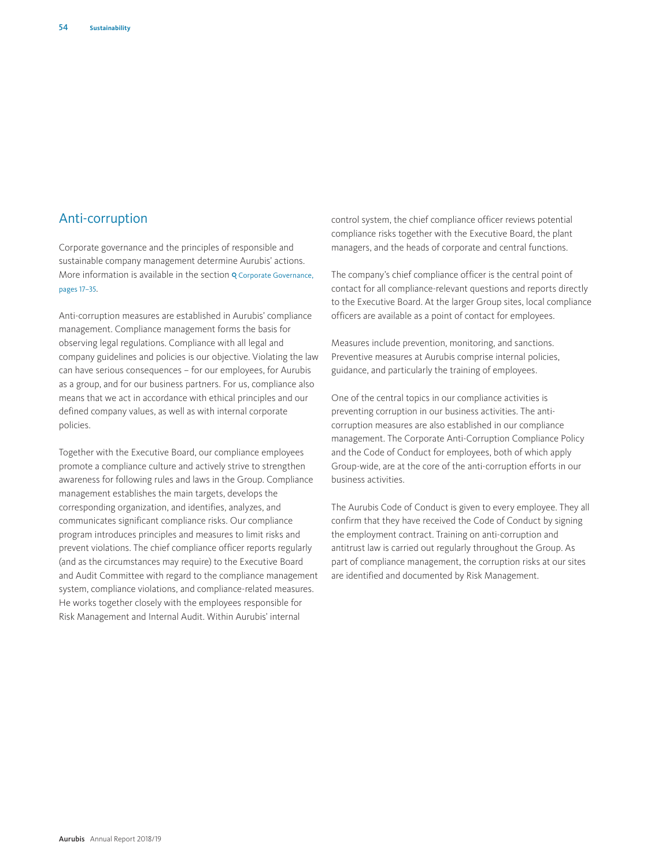# Anti-corruption

Corporate governance and the principles of responsible and sustainable company management determine Aurubis' actions. More information is available in the section **Q** Corporate Governance, pages 17–35.

Anti-corruption measures are established in Aurubis' compliance management. Compliance management forms the basis for observing legal regulations. Compliance with all legal and company guidelines and policies is our objective. Violating the law can have serious consequences – for our employees, for Aurubis as a group, and for our business partners. For us, compliance also means that we act in accordance with ethical principles and our defined company values, as well as with internal corporate policies.

Together with the Executive Board, our compliance employees promote a compliance culture and actively strive to strengthen awareness for following rules and laws in the Group. Compliance management establishes the main targets, develops the corresponding organization, and identifies, analyzes, and communicates significant compliance risks. Our compliance program introduces principles and measures to limit risks and prevent violations. The chief compliance officer reports regularly (and as the circumstances may require) to the Executive Board and Audit Committee with regard to the compliance management system, compliance violations, and compliance-related measures. He works together closely with the employees responsible for Risk Management and Internal Audit. Within Aurubis' internal

control system, the chief compliance officer reviews potential compliance risks together with the Executive Board, the plant managers, and the heads of corporate and central functions.

The company's chief compliance officer is the central point of contact for all compliance-relevant questions and reports directly to the Executive Board. At the larger Group sites, local compliance officers are available as a point of contact for employees.

Measures include prevention, monitoring, and sanctions. Preventive measures at Aurubis comprise internal policies, guidance, and particularly the training of employees.

One of the central topics in our compliance activities is preventing corruption in our business activities. The anticorruption measures are also established in our compliance management. The Corporate Anti-Corruption Compliance Policy and the Code of Conduct for employees, both of which apply Group-wide, are at the core of the anti-corruption efforts in our business activities.

The Aurubis Code of Conduct is given to every employee. They all confirm that they have received the Code of Conduct by signing the employment contract. Training on anti-corruption and antitrust law is carried out regularly throughout the Group. As part of compliance management, the corruption risks at our sites are identified and documented by Risk Management.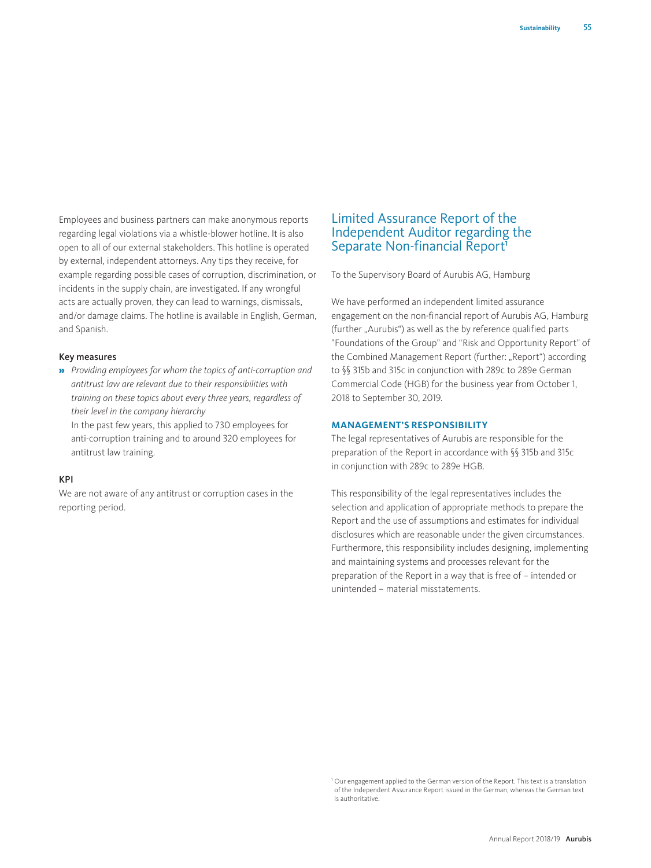Employees and business partners can make anonymous reports regarding legal violations via a whistle-blower hotline. It is also open to all of our external stakeholders. This hotline is operated by external, independent attorneys. Any tips they receive, for example regarding possible cases of corruption, discrimination, or incidents in the supply chain, are investigated. If any wrongful acts are actually proven, they can lead to warnings, dismissals, and/or damage claims. The hotline is available in English, German, and Spanish.

#### Key measures

» *Providing employees for whom the topics of anti-corruption and antitrust law are relevant due to their responsibilities with training on these topics about every three years, regardless of their level in the company hierarchy* 

In the past few years, this applied to 730 employees for anti-corruption training and to around 320 employees for antitrust law training.

# KPI

We are not aware of any antitrust or corruption cases in the reporting period.

# Limited Assurance Report of the Independent Auditor regarding the Separate Non-financial Report<sup>1</sup>

To the Supervisory Board of Aurubis AG, Hamburg

We have performed an independent limited assurance engagement on the non-financial report of Aurubis AG, Hamburg (further "Aurubis") as well as the by reference qualified parts "Foundations of the Group" and "Risk and Opportunity Report" of the Combined Management Report (further: "Report") according to §§ 315b and 315c in conjunction with 289c to 289e German Commercial Code (HGB) for the business year from October 1, 2018 to September 30, 2019.

#### **MANAGEMENT'S RESPONSIBILITY**

The legal representatives of Aurubis are responsible for the preparation of the Report in accordance with §§ 315b and 315c in conjunction with 289c to 289e HGB.

This responsibility of the legal representatives includes the selection and application of appropriate methods to prepare the Report and the use of assumptions and estimates for individual disclosures which are reasonable under the given circumstances. Furthermore, this responsibility includes designing, implementing and maintaining systems and processes relevant for the preparation of the Report in a way that is free of – intended or unintended – material misstatements.

<sup>&</sup>lt;sup>1</sup> Our engagement applied to the German version of the Report. This text is a translation of the Independent Assurance Report issued in the German, whereas the German text is authoritative.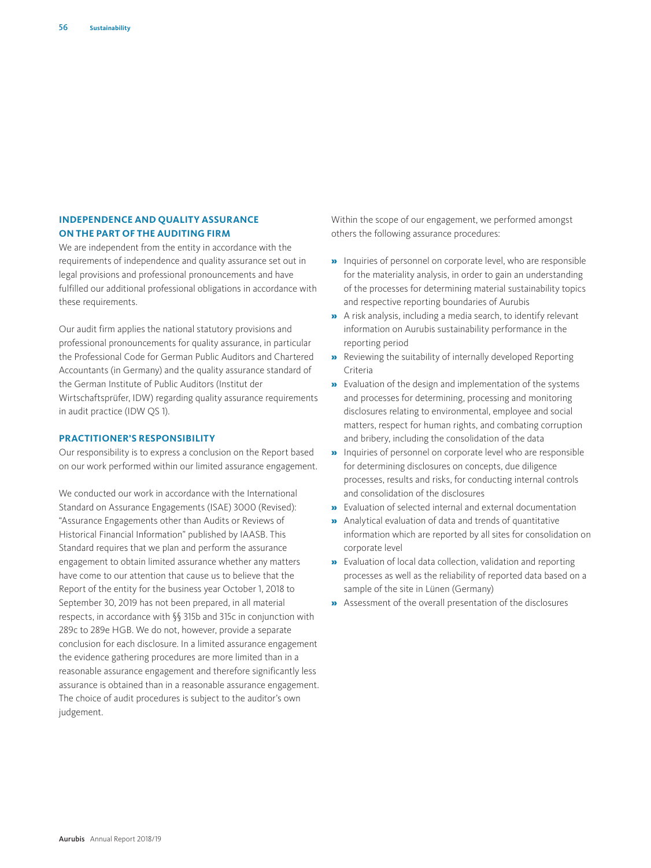# **INDEPENDENCE AND QUALITY ASSURANCE ON THE PART OF THE AUDITING FIRM**

We are independent from the entity in accordance with the requirements of independence and quality assurance set out in legal provisions and professional pronouncements and have fulfilled our additional professional obligations in accordance with these requirements.

Our audit firm applies the national statutory provisions and professional pronouncements for quality assurance, in particular the Professional Code for German Public Auditors and Chartered Accountants (in Germany) and the quality assurance standard of the German Institute of Public Auditors (Institut der Wirtschaftsprüfer, IDW) regarding quality assurance requirements in audit practice (IDW QS 1).

## **PRACTITIONER'S RESPONSIBILITY**

Our responsibility is to express a conclusion on the Report based on our work performed within our limited assurance engagement.

We conducted our work in accordance with the International Standard on Assurance Engagements (ISAE) 3000 (Revised): "Assurance Engagements other than Audits or Reviews of Historical Financial Information" published by IAASB. This Standard requires that we plan and perform the assurance engagement to obtain limited assurance whether any matters have come to our attention that cause us to believe that the Report of the entity for the business year October 1, 2018 to September 30, 2019 has not been prepared, in all material respects, in accordance with §§ 315b and 315c in conjunction with 289c to 289e HGB. We do not, however, provide a separate conclusion for each disclosure. In a limited assurance engagement the evidence gathering procedures are more limited than in a reasonable assurance engagement and therefore significantly less assurance is obtained than in a reasonable assurance engagement. The choice of audit procedures is subject to the auditor's own judgement.

Within the scope of our engagement, we performed amongst others the following assurance procedures:

- » Inquiries of personnel on corporate level, who are responsible for the materiality analysis, in order to gain an understanding of the processes for determining material sustainability topics and respective reporting boundaries of Aurubis
- » A risk analysis, including a media search, to identify relevant information on Aurubis sustainability performance in the reporting period
- » Reviewing the suitability of internally developed Reporting Criteria
- » Evaluation of the design and implementation of the systems and processes for determining, processing and monitoring disclosures relating to environmental, employee and social matters, respect for human rights, and combating corruption and bribery, including the consolidation of the data
- » Inquiries of personnel on corporate level who are responsible for determining disclosures on concepts, due diligence processes, results and risks, for conducting internal controls and consolidation of the disclosures
- » Evaluation of selected internal and external documentation
- » Analytical evaluation of data and trends of quantitative information which are reported by all sites for consolidation on corporate level
- » Evaluation of local data collection, validation and reporting processes as well as the reliability of reported data based on a sample of the site in Lünen (Germany)
- » Assessment of the overall presentation of the disclosures